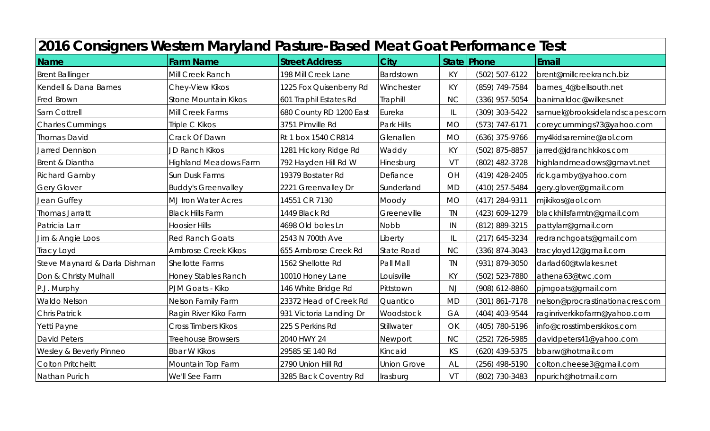| 2016 Consigners Western Maryland Pasture-Based Meat Goat Performance Test |                              |                         |                    |           |                    |                                 |  |  |  |
|---------------------------------------------------------------------------|------------------------------|-------------------------|--------------------|-----------|--------------------|---------------------------------|--|--|--|
| Name                                                                      | <b>Farm Name</b>             | <b>Street Address</b>   | City               |           | State   Phone      | Email                           |  |  |  |
| <b>Brent Ballinger</b>                                                    | Mill Creek Ranch             | 198 Mill Creek Lane     | Bardstown          | <b>KY</b> | (502) 507-6122     | brent@millcreekranch.biz        |  |  |  |
| Kendell & Dana Barnes                                                     | Chey-View Kikos              | 1225 Fox Quisenberry Rd | Winchester         | <b>KY</b> | (859) 749-7584     | barnes_4@bellsouth.net          |  |  |  |
| Fred Brown                                                                | <b>Stone Mountain Kikos</b>  | 601 Traphil Estates Rd  | Traphill           | <b>NC</b> | (336) 957-5054     | banimaldoc@wilkes.net           |  |  |  |
| Sam Cottrell                                                              | Mill Creek Farms             | 680 County RD 1200 East | Eureka             | IL        | (309) 303-5422     | samuel@brooksidelandscapes.com  |  |  |  |
| <b>Charles Cummings</b>                                                   | Triple C Kikos               | 3751 Pimville Rd        | Park Hills         | <b>MO</b> | $(573) 747 - 6171$ | coreycummings73@yahoo.com       |  |  |  |
| <b>Thomas David</b>                                                       | Crack Of Dawn                | Rt 1 box 1540 CR814     | Glenallen          | <b>MO</b> | (636) 375-9766     | my4kidsaremine@aol.com          |  |  |  |
| <b>Jarred Dennison</b>                                                    | <b>JD Ranch Kikos</b>        | 1281 Hickory Ridge Rd   | Waddy              | <b>KY</b> | (502) 875-8857     | jarred@jdranchkikos.com         |  |  |  |
| Brent & Diantha                                                           | <b>Highland Meadows Farm</b> | 792 Hayden Hill Rd W    | Hinesburg          | VT        | (802) 482-3728     | highlandmeadows@gmavt.net       |  |  |  |
| <b>Richard Gamby</b>                                                      | Sun Dusk Farms               | 19379 Bostater Rd       | Defiance           | OH        | $(419)$ 428-2405   | rick.gamby@yahoo.com            |  |  |  |
| <b>Gery Glover</b>                                                        | <b>Buddy's Greenvalley</b>   | 2221 Greenvalley Dr     | Sunderland         | <b>MD</b> | $(410)$ 257-5484   | gery.glover@gmail.com           |  |  |  |
| Jean Guffey                                                               | <b>MJ</b> Iron Water Acres   | 14551 CR 7130           | Moody              | <b>MO</b> | (417) 284-9311     | mjikikos@aol.com                |  |  |  |
| Thomas Jarratt                                                            | <b>Black Hills Farm</b>      | 1449 Black Rd           | Greeneville        | <b>TN</b> | (423) 609-1279     | blackhillsfarmtn@gmail.com      |  |  |  |
| Patricia Larr                                                             | <b>Hoosier Hills</b>         | 4698 Old boles Ln       | <b>Nobb</b>        | IN        | (812) 889-3215     | pattylarr@gmail.com             |  |  |  |
| Jim & Angie Loos                                                          | <b>Red Ranch Goats</b>       | 2543 N 700th Ave        | Liberty            | IL        | (217) 645-3234     | redranchgoats@gmail.com         |  |  |  |
| Tracy Loyd                                                                | <b>Ambrose Creek Kikos</b>   | 655 Ambrose Creek Rd    | <b>State Road</b>  | <b>NC</b> | (336) 874-3043     | tracyloyd12@gmail.com           |  |  |  |
| Steve Maynard & Darla Dishman                                             | <b>Shellotte Farms</b>       | 1562 Shellotte Rd       | Pall Mall          | <b>TN</b> | (931) 879-3050     | darlad60@twlakes.net            |  |  |  |
| Don & Christy Mulhall                                                     | Honey Stables Ranch          | 10010 Honey Lane        | Louisville         | <b>KY</b> | (502) 523-7880     | athena63@twc.com                |  |  |  |
| P.J. Murphy                                                               | PJM Goats - Kiko             | 146 White Bridge Rd     | Pittstown          | <b>NJ</b> | (908) 612-8860     | pjmgoats@gmail.com              |  |  |  |
| <b>Waldo Nelson</b>                                                       | Nelson Family Farm           | 23372 Head of Creek Rd  | Quantico           | <b>MD</b> | (301) 861-7178     | nelson@procrastinationacres.com |  |  |  |
| <b>Chris Patrick</b>                                                      | Ragin River Kiko Farm        | 931 Victoria Landing Dr | Woodstock          | GA        | (404) 403-9544     | raginriverkikofarm@yahoo.com    |  |  |  |
| Yetti Payne                                                               | Cross Timbers Kikos          | 225 S Perkins Rd        | Stillwater         | OK        | (405) 780-5196     | info@crosstimberskikos.com      |  |  |  |
| <b>David Peters</b>                                                       | <b>Treehouse Browsers</b>    | 2040 HWY 24             | Newport            | <b>NC</b> | (252) 726-5985     | davidpeters41@yahoo.com         |  |  |  |
| Wesley & Beverly Pinneo                                                   | <b>Bbar W Kikos</b>          | 29585 SE 140 Rd         | Kincaid            | KS        | (620) 439-5375     | bbarw@hotmail.com               |  |  |  |
| <b>Colton Pritcheitt</b>                                                  | Mountain Top Farm            | 2790 Union Hill Rd      | <b>Union Grove</b> | AL        | (256) 498-5190     | colton.cheese3@gmail.com        |  |  |  |
| Nathan Purich                                                             | We'll See Farm               | 3285 Back Coventry Rd   | Irasburg           | VT        | (802) 730-3483     | npurich@hotmail.com             |  |  |  |